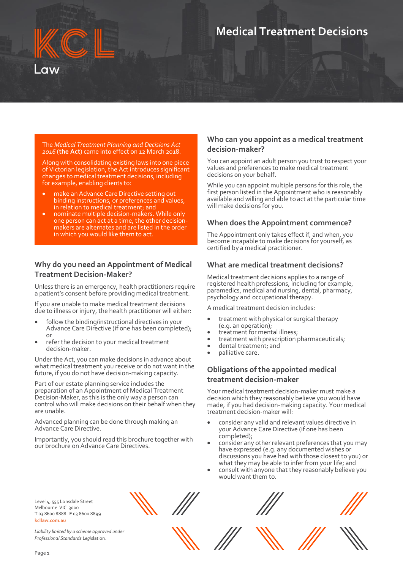# **Medical Treatment Decisions**

#### The *Medical Treatment Planning and Decisions Act 2016* (**the Act**) came into effect on 12 March 2018.

Along with consolidating existing laws into one piece of Victorian legislation, the Act introduces significant changes to medical treatment decisions, including for example, enabling clients to:

- make an Advance Care Directive setting out binding instructions, or preferences and values, in relation to medical treatment; and
- nominate multiple decision-makers. While only one person can act at a time, the other decisionmakers are alternates and are listed in the order in which you would like them to act.

### **Why do you need an Appointment of Medical Treatment Decision-Maker?**

Unless there is an emergency, health practitioners require a patient's consent before providing medical treatment.

If you are unable to make medical treatment decisions due to illness or injury, the health practitioner will either:

- follow the binding/instructional directives in your Advance Care Directive (if one has been completed); or
- refer the decision to your medical treatment decision-maker.

Under the Act, you can make decisions in advance about what medical treatment you receive or do not want in the future, if you do not have decision-making capacity.

Part of our estate planning service includes the preparation of an Appointment of Medical Treatment Decision-Maker, as this is the only way a person can control who will make decisions on their behalf when they are unable.

Advanced planning can be done through making an Advance Care Directive.

Importantly, you should read this brochure together with our brochure on Advance Care Directives.

#### **Who can you appoint as a medical treatment decision-maker?**

You can appoint an adult person you trust to respect your values and preferences to make medical treatment decisions on your behalf.

While you can appoint multiple persons for this role, the first person listed in the Appointment who is reasonably available and willing and able to act at the particular time will make decisions for you.

#### **When does the Appointment commence?**

The Appointment only takes effect if, and when, you become incapable to make decisions for yourself, as certified by a medical practitioner.

#### **What are medical treatment decisions?**

Medical treatment decisions applies to a range of registered health professions, including for example, paramedics, medical and nursing, dental, pharmacy, psychology and occupational therapy.

A medical treatment decision includes:

- treatment with physical or surgical therapy (e.g. an operation);
- treatment for mental illness;
- treatment with prescription pharmaceuticals;
- dental treatment; and
- palliative care.

#### **Obligations of the appointed medical treatment decision-maker**

Your medical treatment decision-maker must make a decision which they reasonably believe you would have made, if you had decision-making capacity. Your medical treatment decision-maker will:

- consider any valid and relevant values directive in your Advance Care Directive (if one has been completed);
- consider any other relevant preferences that you may have expressed (e.g. any documented wishes or discussions you have had with those closest to you) or what they may be able to infer from your life; and
- consult with anyone that they reasonably believe you would want them to.

Level 4, 555 Lonsdale Street Melbourne VIC 3000 **T** 03 8600 8888 **F** 03 8600 8899 **kcllaw.com.au**

*Liability limited by a scheme approved under Professional Standards Legis*lation.







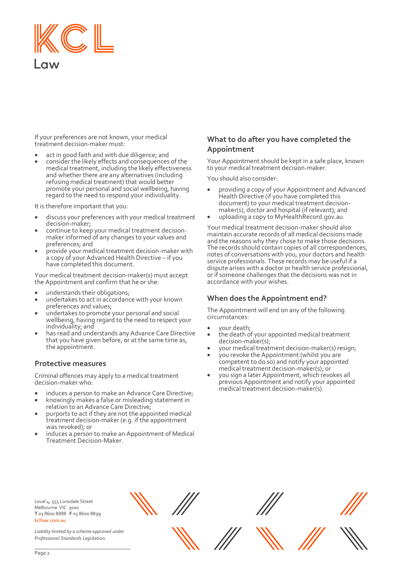

If your preferences are not known, your medical treatment decision-maker must:

- act in good faith and with due diligence; and
- consider the likely effects and consequences of the medical treatment, including the likely effectiveness and whether there are any alternatives (including refusing medical treatment) that would better promote your personal and social wellbeing, having regard to the need to respond your individuality.

It is therefore important that you:

- discuss your preferences with your medical treatment decision-maker;
- continue to keep your medical treatment decisionmaker informed of any changes to your values and preferences; and
- provide your medical treatment decision-maker with a copy of your Advanced Health Directive – if you have completed this document.

Your medical treatment decision-maker(s) must accept the Appointment and confirm that he or she:

- understands their obligations;
- undertakes to act in accordance with your known preferences and values;
- undertakes to promote your personal and social wellbeing, having regard to the need to respect your individuality; and
- has read and understands any Advance Care Directive that you have given before, or at the same time as, the appointment.

#### **Protective measures**

Criminal offences may apply to a medical treatment decision-maker who:

- induces a person to make an Advance Care Directive;
- knowingly makes a false or misleading statement in relation to an Advance Care Directive;
- purports to act if they are not the appointed medical treatment decision-maker (e.g. if the appointment was revoked); or
- induces a person to make an Appointment of Medical Treatment Decision-Maker.

## **What to do after you have completed the Appointment**

Your Appointment should be kept in a safe place, known to your medical treatment decision-maker.

You should also consider:

- providing a copy of your Appointment and Advanced Health Directive (if you have completed this document) to your medical treatment decisionmaker(s), doctor and hospital (if relevant); and
- uploading a copy to MyHealthRecord.gov.au.

Your medical treatment decision-maker should also maintain accurate records of all medical decisions made and the reasons why they chose to make those decisions. The records should contain copies of all correspondences, notes of conversations with you, your doctors and health service professionals. These records may be useful if a dispute arises with a doctor or health service professional, or if someone challenges that the decisions was not in accordance with your wishes.

#### **When does the Appointment end?**

The Appointment will end on any of the following circumstances:

- your death;
- the death of your appointed medical treatment decision-maker(s);
- your medical treatment decision-maker(s) resign;
- you revoke the Appointment (whilst you are competent to do so) and notify your appointed medical treatment decision-maker(s); or
- you sign a later Appointment, which revokes all previous Appointment and notify your appointed medical treatment decision-maker(s).

Level 4, 555 Lonsdale Street Melbourne VIC 3000 **T** 03 8600 8888 **F** 03 8600 8899 **kcllaw.com.au**

*Liability limited by a scheme approved under Professional Standards Legis*lation.